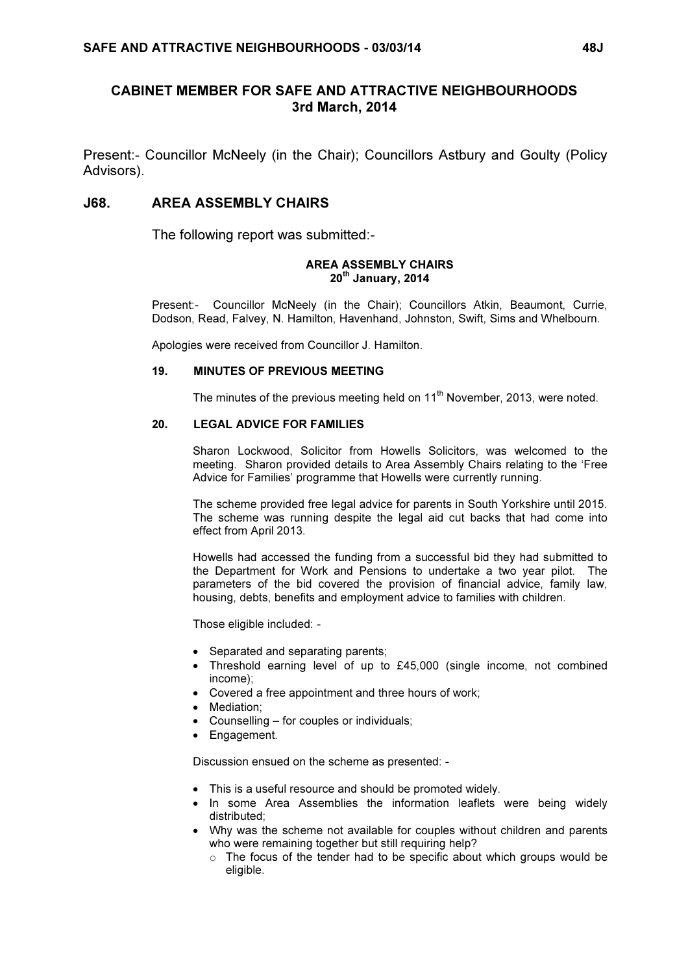# CABINET MEMBER FOR SAFE AND ATTRACTIVE NEIGHBOURHOODS 3rd March, 2014

Present:- Councillor McNeely (in the Chair); Councillors Astbury and Goulty (Policy Advisors).

## J68. AREA ASSEMBLY CHAIRS

The following report was submitted:-

#### AREA ASSEMBLY CHAIRS  $20<sup>th</sup>$  January, 2014

Present:- Councillor McNeely (in the Chair); Councillors Atkin, Beaumont, Currie, Dodson, Read, Falvey, N. Hamilton, Havenhand, Johnston, Swift, Sims and Whelbourn.

Apologies were received from Councillor J. Hamilton.

#### 19. MINUTES OF PREVIOUS MEETING

The minutes of the previous meeting held on 11<sup>th</sup> November, 2013, were noted.

#### 20. LEGAL ADVICE FOR FAMILIES

Sharon Lockwood, Solicitor from Howells Solicitors, was welcomed to the meeting. Sharon provided details to Area Assembly Chairs relating to the 'Free Advice for Families' programme that Howells were currently running.

The scheme provided free legal advice for parents in South Yorkshire until 2015. The scheme was running despite the legal aid cut backs that had come into effect from April 2013.

Howells had accessed the funding from a successful bid they had submitted to the Department for Work and Pensions to undertake a two year pilot. The parameters of the bid covered the provision of financial advice, family law, housing, debts, benefits and employment advice to families with children.

Those eligible included: -

- Separated and separating parents;
- Threshold earning level of up to £45,000 (single income, not combined income);
- Covered a free appointment and three hours of work;
- Mediation;
- Counselling for couples or individuals;
- Engagement.

Discussion ensued on the scheme as presented: -

- This is a useful resource and should be promoted widely.
- In some Area Assemblies the information leaflets were being widely distributed;
- Why was the scheme not available for couples without children and parents who were remaining together but still requiring help?
	- o The focus of the tender had to be specific about which groups would be eligible.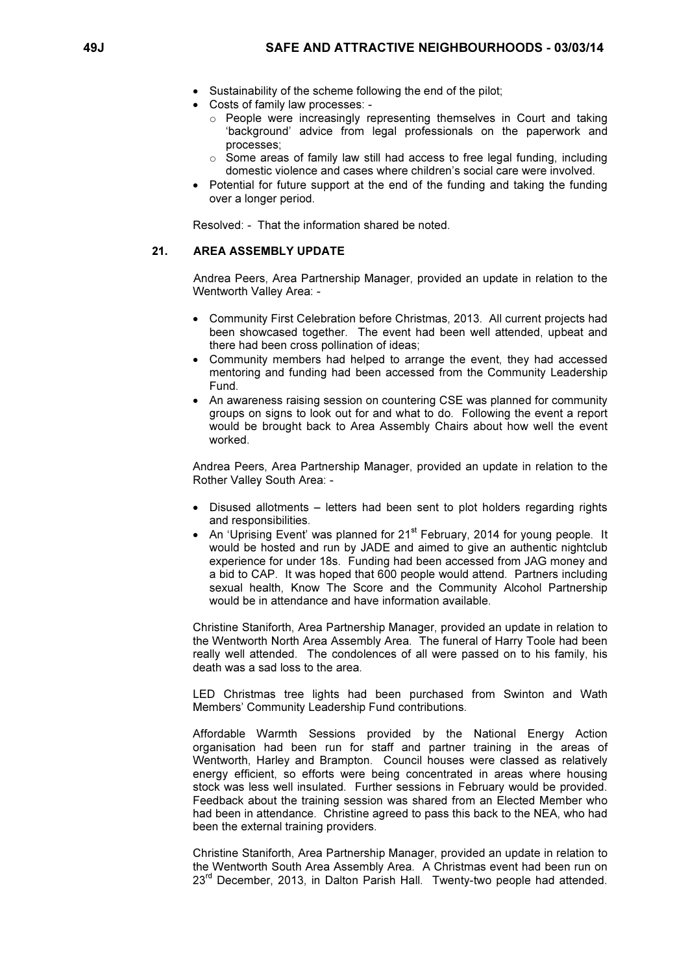- Sustainability of the scheme following the end of the pilot;
- Costs of family law processes:
	- o People were increasingly representing themselves in Court and taking 'background' advice from legal professionals on the paperwork and processes;
	- o Some areas of family law still had access to free legal funding, including domestic violence and cases where children's social care were involved.
- Potential for future support at the end of the funding and taking the funding over a longer period.

Resolved: - That the information shared be noted.

## 21. AREA ASSEMBLY UPDATE

Andrea Peers, Area Partnership Manager, provided an update in relation to the Wentworth Valley Area: -

- Community First Celebration before Christmas, 2013. All current projects had been showcased together. The event had been well attended, upbeat and there had been cross pollination of ideas;
- Community members had helped to arrange the event, they had accessed mentoring and funding had been accessed from the Community Leadership Fund.
- An awareness raising session on countering CSE was planned for community groups on signs to look out for and what to do. Following the event a report would be brought back to Area Assembly Chairs about how well the event worked.

Andrea Peers, Area Partnership Manager, provided an update in relation to the Rother Valley South Area: -

- Disused allotments letters had been sent to plot holders regarding rights and responsibilities.
- An 'Uprising Event' was planned for 21<sup>st</sup> February, 2014 for young people. It would be hosted and run by JADE and aimed to give an authentic nightclub experience for under 18s. Funding had been accessed from JAG money and a bid to CAP. It was hoped that 600 people would attend. Partners including sexual health, Know The Score and the Community Alcohol Partnership would be in attendance and have information available.

Christine Staniforth, Area Partnership Manager, provided an update in relation to the Wentworth North Area Assembly Area. The funeral of Harry Toole had been really well attended. The condolences of all were passed on to his family, his death was a sad loss to the area.

LED Christmas tree lights had been purchased from Swinton and Wath Members' Community Leadership Fund contributions.

Affordable Warmth Sessions provided by the National Energy Action organisation had been run for staff and partner training in the areas of Wentworth, Harley and Brampton. Council houses were classed as relatively energy efficient, so efforts were being concentrated in areas where housing stock was less well insulated. Further sessions in February would be provided. Feedback about the training session was shared from an Elected Member who had been in attendance. Christine agreed to pass this back to the NEA, who had been the external training providers.

Christine Staniforth, Area Partnership Manager, provided an update in relation to the Wentworth South Area Assembly Area. A Christmas event had been run on 23<sup>rd</sup> December, 2013, in Dalton Parish Hall. Twenty-two people had attended.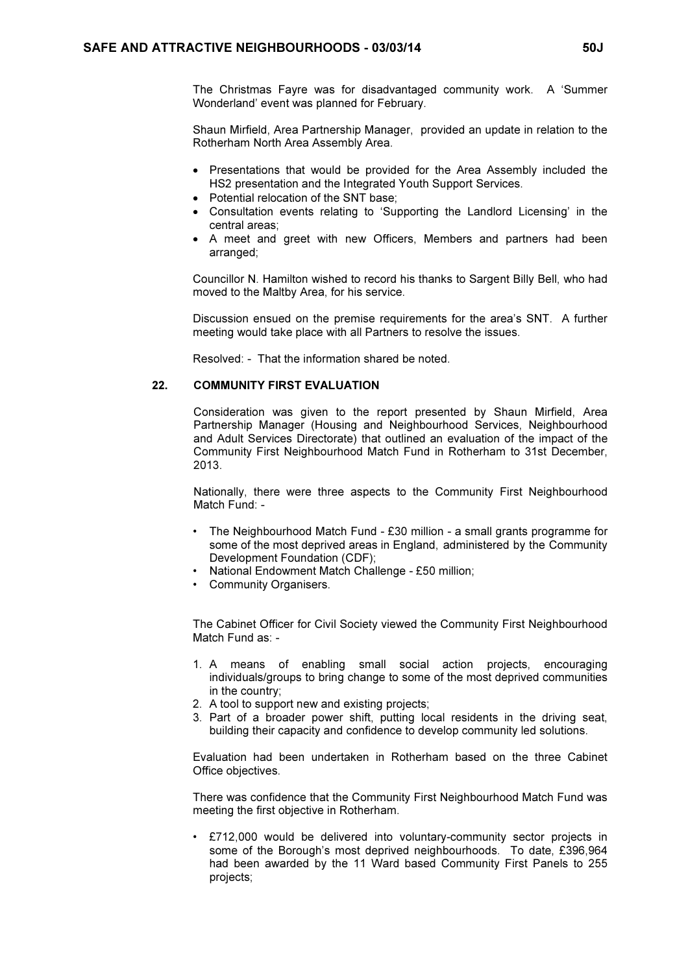The Christmas Fayre was for disadvantaged community work. A 'Summer Wonderland' event was planned for February.

Shaun Mirfield, Area Partnership Manager, provided an update in relation to the Rotherham North Area Assembly Area.

- Presentations that would be provided for the Area Assembly included the HS2 presentation and the Integrated Youth Support Services.
- Potential relocation of the SNT base;
- Consultation events relating to 'Supporting the Landlord Licensing' in the central areas;
- A meet and greet with new Officers, Members and partners had been arranged;

Councillor N. Hamilton wished to record his thanks to Sargent Billy Bell, who had moved to the Maltby Area, for his service.

Discussion ensued on the premise requirements for the area's SNT. A further meeting would take place with all Partners to resolve the issues.

Resolved: - That the information shared be noted.

#### 22. COMMUNITY FIRST EVALUATION

Consideration was given to the report presented by Shaun Mirfield, Area Partnership Manager (Housing and Neighbourhood Services, Neighbourhood and Adult Services Directorate) that outlined an evaluation of the impact of the Community First Neighbourhood Match Fund in Rotherham to 31st December, 2013.

Nationally, there were three aspects to the Community First Neighbourhood Match Fund: -

- The Neighbourhood Match Fund £30 million a small grants programme for some of the most deprived areas in England, administered by the Community Development Foundation (CDF);
- National Endowment Match Challenge £50 million;
- Community Organisers.

The Cabinet Officer for Civil Society viewed the Community First Neighbourhood Match Fund as: -

- 1. A means of enabling small social action projects, encouraging individuals/groups to bring change to some of the most deprived communities in the country;
- 2. A tool to support new and existing projects;
- 3. Part of a broader power shift, putting local residents in the driving seat, building their capacity and confidence to develop community led solutions.

Evaluation had been undertaken in Rotherham based on the three Cabinet Office objectives.

There was confidence that the Community First Neighbourhood Match Fund was meeting the first objective in Rotherham.

• £712,000 would be delivered into voluntary-community sector projects in some of the Borough's most deprived neighbourhoods. To date, £396,964 had been awarded by the 11 Ward based Community First Panels to 255 projects;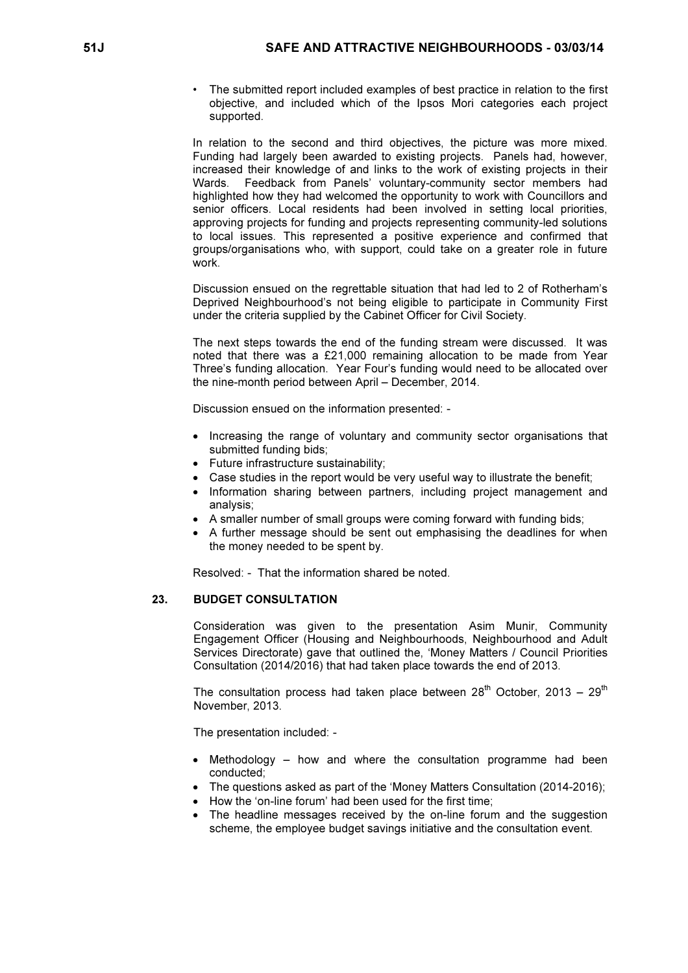The submitted report included examples of best practice in relation to the first objective, and included which of the Ipsos Mori categories each project supported.

In relation to the second and third objectives, the picture was more mixed. Funding had largely been awarded to existing projects. Panels had, however, increased their knowledge of and links to the work of existing projects in their Wards. Feedback from Panels' voluntary-community sector members had highlighted how they had welcomed the opportunity to work with Councillors and senior officers. Local residents had been involved in setting local priorities, approving projects for funding and projects representing community-led solutions to local issues. This represented a positive experience and confirmed that groups/organisations who, with support, could take on a greater role in future work.

Discussion ensued on the regrettable situation that had led to 2 of Rotherham's Deprived Neighbourhood's not being eligible to participate in Community First under the criteria supplied by the Cabinet Officer for Civil Society.

The next steps towards the end of the funding stream were discussed. It was noted that there was a £21,000 remaining allocation to be made from Year Three's funding allocation. Year Four's funding would need to be allocated over the nine-month period between April – December, 2014.

Discussion ensued on the information presented: -

- Increasing the range of voluntary and community sector organisations that submitted funding bids;
- Future infrastructure sustainability;
- Case studies in the report would be very useful way to illustrate the benefit;
- Information sharing between partners, including project management and analysis;
- A smaller number of small groups were coming forward with funding bids;
- A further message should be sent out emphasising the deadlines for when the money needed to be spent by.

Resolved: - That the information shared be noted.

#### 23. BUDGET CONSULTATION

Consideration was given to the presentation Asim Munir, Community Engagement Officer (Housing and Neighbourhoods, Neighbourhood and Adult Services Directorate) gave that outlined the, 'Money Matters / Council Priorities Consultation (2014/2016) that had taken place towards the end of 2013.

The consultation process had taken place between  $28<sup>th</sup>$  October, 2013 –  $29<sup>th</sup>$ November, 2013.

The presentation included: -

- Methodology how and where the consultation programme had been conducted;
- The questions asked as part of the 'Money Matters Consultation (2014-2016);
- How the 'on-line forum' had been used for the first time;
- The headline messages received by the on-line forum and the suggestion scheme, the employee budget savings initiative and the consultation event.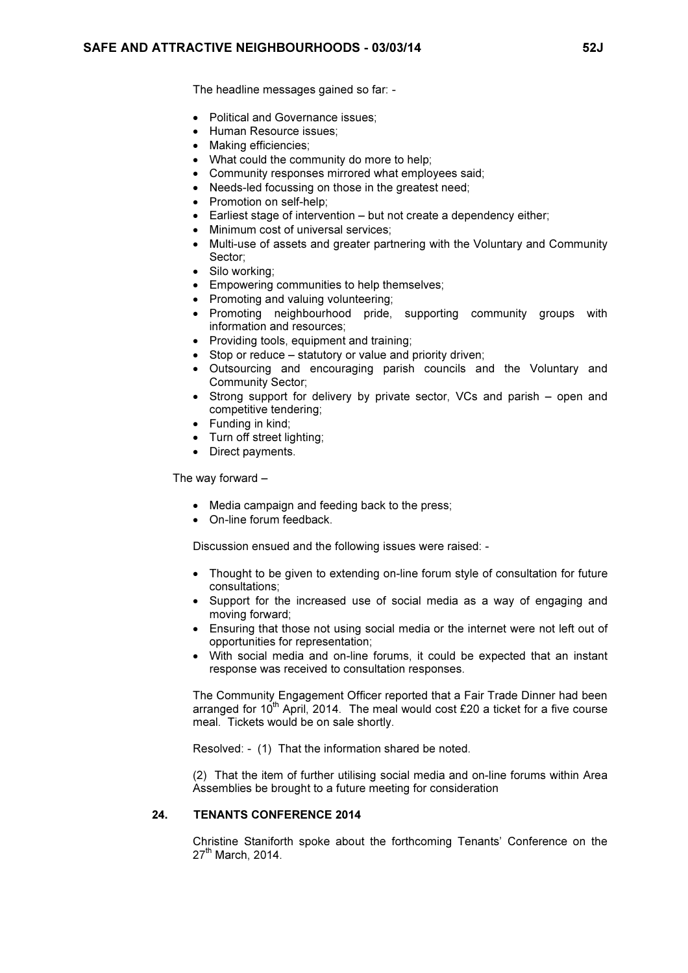The headline messages gained so far: -

- Political and Governance issues;
- Human Resource issues:
- Making efficiencies;
- What could the community do more to help;
- Community responses mirrored what employees said;
- Needs-led focussing on those in the greatest need;
- Promotion on self-help;
- Earliest stage of intervention but not create a dependency either;
- Minimum cost of universal services;
- Multi-use of assets and greater partnering with the Voluntary and Community Sector;
- Silo working;
- Empowering communities to help themselves;
- Promoting and valuing volunteering;
- Promoting neighbourhood pride, supporting community groups with information and resources;
- Providing tools, equipment and training;
- Stop or reduce statutory or value and priority driven;
- Outsourcing and encouraging parish councils and the Voluntary and Community Sector;
- Strong support for delivery by private sector, VCs and parish open and competitive tendering;
- Funding in kind;
- Turn off street lighting;
- Direct payments.

The way forward –

- Media campaign and feeding back to the press;
- On-line forum feedback.

Discussion ensued and the following issues were raised: -

- Thought to be given to extending on-line forum style of consultation for future consultations;
- Support for the increased use of social media as a way of engaging and moving forward;
- Ensuring that those not using social media or the internet were not left out of opportunities for representation;
- With social media and on-line forums, it could be expected that an instant response was received to consultation responses.

The Community Engagement Officer reported that a Fair Trade Dinner had been arranged for  $10^{th}$  April, 2014. The meal would cost £20 a ticket for a five course meal. Tickets would be on sale shortly.

Resolved: - (1) That the information shared be noted.

(2) That the item of further utilising social media and on-line forums within Area Assemblies be brought to a future meeting for consideration

#### 24. TENANTS CONFERENCE 2014

Christine Staniforth spoke about the forthcoming Tenants' Conference on the  $27<sup>th</sup>$  March, 2014.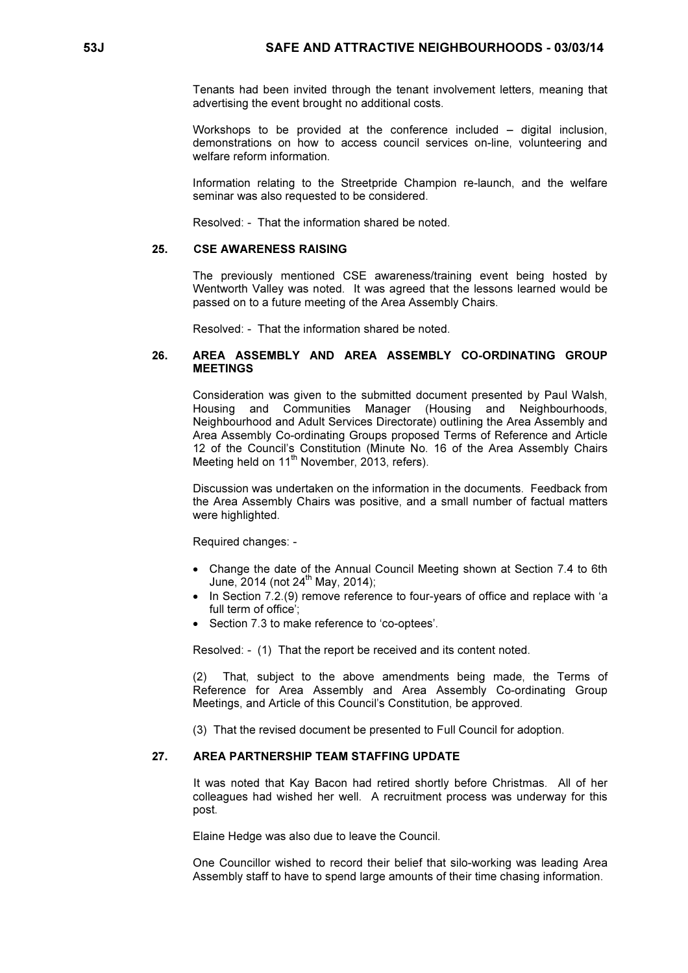Tenants had been invited through the tenant involvement letters, meaning that advertising the event brought no additional costs.

Workshops to be provided at the conference included – digital inclusion, demonstrations on how to access council services on-line, volunteering and welfare reform information.

Information relating to the Streetpride Champion re-launch, and the welfare seminar was also requested to be considered.

Resolved: - That the information shared be noted.

## 25. CSE AWARENESS RAISING

The previously mentioned CSE awareness/training event being hosted by Wentworth Valley was noted. It was agreed that the lessons learned would be passed on to a future meeting of the Area Assembly Chairs.

Resolved: - That the information shared be noted.

#### 26. AREA ASSEMBLY AND AREA ASSEMBLY CO-ORDINATING GROUP **MEETINGS**

Consideration was given to the submitted document presented by Paul Walsh, Housing and Communities Manager (Housing and Neighbourhoods, Neighbourhood and Adult Services Directorate) outlining the Area Assembly and Area Assembly Co-ordinating Groups proposed Terms of Reference and Article 12 of the Council's Constitution (Minute No. 16 of the Area Assembly Chairs Meeting held on 11<sup>th</sup> November, 2013, refers).

Discussion was undertaken on the information in the documents. Feedback from the Area Assembly Chairs was positive, and a small number of factual matters were highlighted.

Required changes: -

- Change the date of the Annual Council Meeting shown at Section 7.4 to 6th June, 2014 (not  $24^{th}$  May, 2014);
- In Section 7.2.(9) remove reference to four-years of office and replace with 'a full term of office';
- Section 7.3 to make reference to 'co-optees'.

Resolved: - (1) That the report be received and its content noted.

(2) That, subject to the above amendments being made, the Terms of Reference for Area Assembly and Area Assembly Co-ordinating Group Meetings, and Article of this Council's Constitution, be approved.

(3) That the revised document be presented to Full Council for adoption.

## 27. AREA PARTNERSHIP TEAM STAFFING UPDATE

It was noted that Kay Bacon had retired shortly before Christmas. All of her colleagues had wished her well. A recruitment process was underway for this post.

Elaine Hedge was also due to leave the Council.

One Councillor wished to record their belief that silo-working was leading Area Assembly staff to have to spend large amounts of their time chasing information.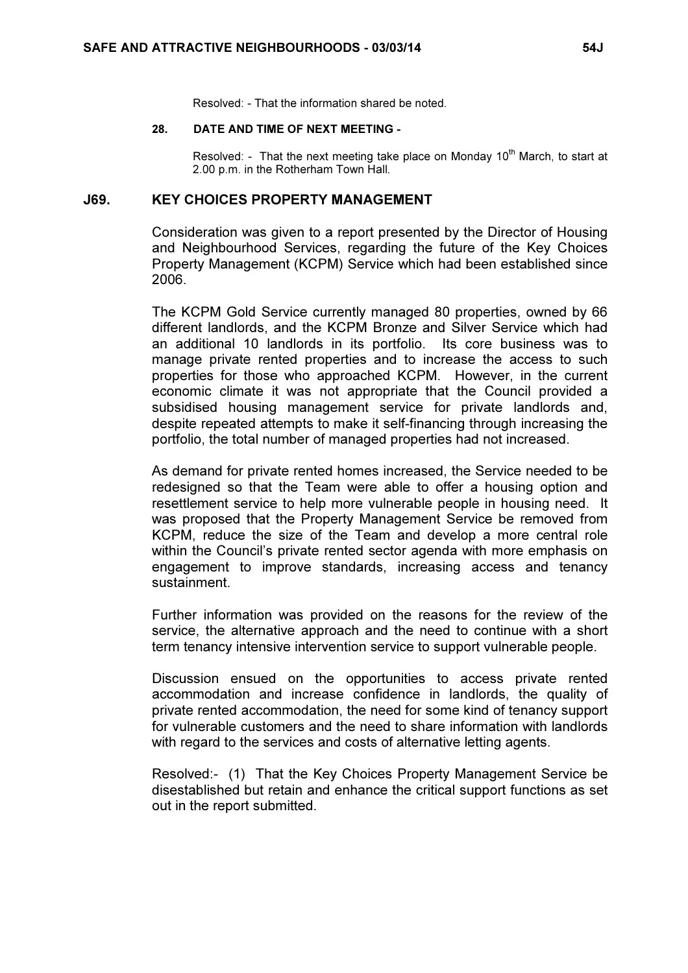Resolved: - That the information shared be noted.

## 28. DATE AND TIME OF NEXT MEETING -

Resolved: - That the next meeting take place on Monday  $10<sup>th</sup>$  March, to start at 2.00 p.m. in the Rotherham Town Hall.

## J69. KEY CHOICES PROPERTY MANAGEMENT

 Consideration was given to a report presented by the Director of Housing and Neighbourhood Services, regarding the future of the Key Choices Property Management (KCPM) Service which had been established since 2006.

The KCPM Gold Service currently managed 80 properties, owned by 66 different landlords, and the KCPM Bronze and Silver Service which had an additional 10 landlords in its portfolio. Its core business was to manage private rented properties and to increase the access to such properties for those who approached KCPM. However, in the current economic climate it was not appropriate that the Council provided a subsidised housing management service for private landlords and, despite repeated attempts to make it self-financing through increasing the portfolio, the total number of managed properties had not increased.

As demand for private rented homes increased, the Service needed to be redesigned so that the Team were able to offer a housing option and resettlement service to help more vulnerable people in housing need. It was proposed that the Property Management Service be removed from KCPM, reduce the size of the Team and develop a more central role within the Council's private rented sector agenda with more emphasis on engagement to improve standards, increasing access and tenancy sustainment.

Further information was provided on the reasons for the review of the service, the alternative approach and the need to continue with a short term tenancy intensive intervention service to support vulnerable people.

Discussion ensued on the opportunities to access private rented accommodation and increase confidence in landlords, the quality of private rented accommodation, the need for some kind of tenancy support for vulnerable customers and the need to share information with landlords with regard to the services and costs of alternative letting agents.

Resolved:- (1) That the Key Choices Property Management Service be disestablished but retain and enhance the critical support functions as set out in the report submitted.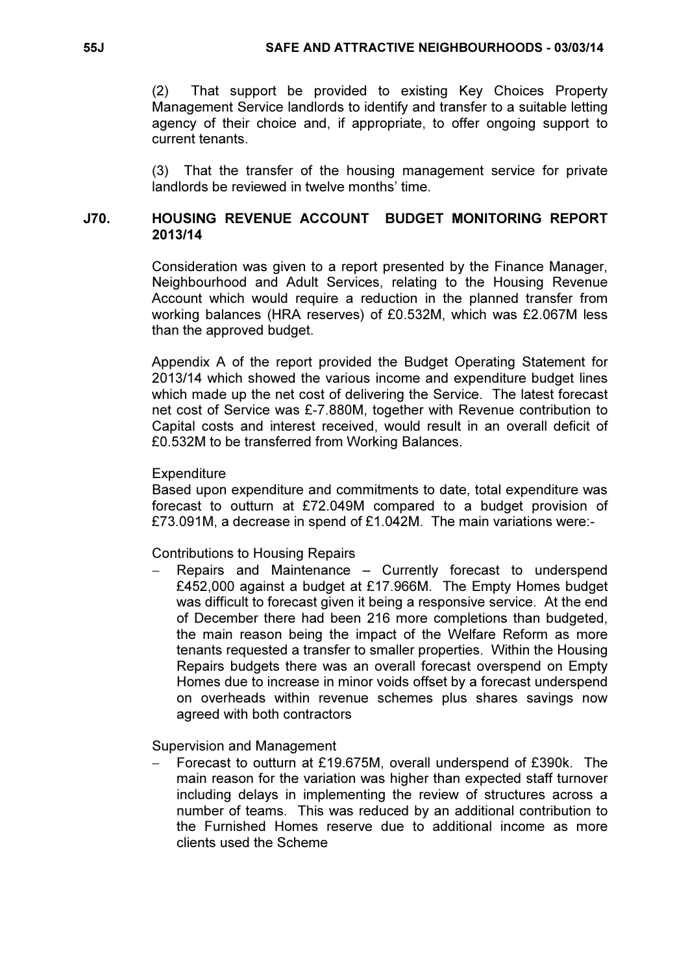(2) That support be provided to existing Key Choices Property Management Service landlords to identify and transfer to a suitable letting agency of their choice and, if appropriate, to offer ongoing support to current tenants.

(3) That the transfer of the housing management service for private landlords be reviewed in twelve months' time.

# J70. HOUSING REVENUE ACCOUNT BUDGET MONITORING REPORT 2013/14

 Consideration was given to a report presented by the Finance Manager, Neighbourhood and Adult Services, relating to the Housing Revenue Account which would require a reduction in the planned transfer from working balances (HRA reserves) of £0.532M, which was £2.067M less than the approved budget.

Appendix A of the report provided the Budget Operating Statement for 2013/14 which showed the various income and expenditure budget lines which made up the net cost of delivering the Service. The latest forecast net cost of Service was £-7.880M, together with Revenue contribution to Capital costs and interest received, would result in an overall deficit of £0.532M to be transferred from Working Balances.

# **Expenditure**

Based upon expenditure and commitments to date, total expenditure was forecast to outturn at £72.049M compared to a budget provision of £73.091M, a decrease in spend of £1.042M. The main variations were:-

Contributions to Housing Repairs

Repairs and Maintenance – Currently forecast to underspend £452,000 against a budget at £17.966M. The Empty Homes budget was difficult to forecast given it being a responsive service. At the end of December there had been 216 more completions than budgeted, the main reason being the impact of the Welfare Reform as more tenants requested a transfer to smaller properties. Within the Housing Repairs budgets there was an overall forecast overspend on Empty Homes due to increase in minor voids offset by a forecast underspend on overheads within revenue schemes plus shares savings now agreed with both contractors

Supervision and Management

− Forecast to outturn at £19.675M, overall underspend of £390k. The main reason for the variation was higher than expected staff turnover including delays in implementing the review of structures across a number of teams. This was reduced by an additional contribution to the Furnished Homes reserve due to additional income as more clients used the Scheme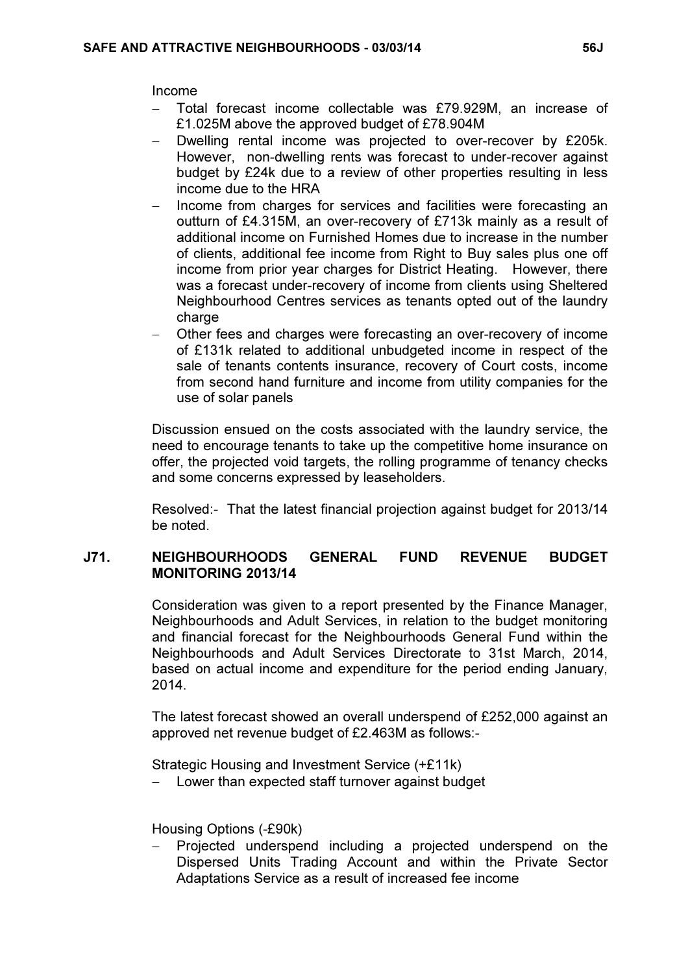Income

- Total forecast income collectable was £79.929M, an increase of £1.025M above the approved budget of £78.904M
- Dwelling rental income was projected to over-recover by £205k. However, non-dwelling rents was forecast to under-recover against budget by £24k due to a review of other properties resulting in less income due to the HRA
- Income from charges for services and facilities were forecasting an outturn of £4.315M, an over-recovery of £713k mainly as a result of additional income on Furnished Homes due to increase in the number of clients, additional fee income from Right to Buy sales plus one off income from prior year charges for District Heating. However, there was a forecast under-recovery of income from clients using Sheltered Neighbourhood Centres services as tenants opted out of the laundry charge
- Other fees and charges were forecasting an over-recovery of income of £131k related to additional unbudgeted income in respect of the sale of tenants contents insurance, recovery of Court costs, income from second hand furniture and income from utility companies for the use of solar panels

Discussion ensued on the costs associated with the laundry service, the need to encourage tenants to take up the competitive home insurance on offer, the projected void targets, the rolling programme of tenancy checks and some concerns expressed by leaseholders.

Resolved:- That the latest financial projection against budget for 2013/14 be noted.

# J71. NEIGHBOURHOODS GENERAL FUND REVENUE BUDGET MONITORING 2013/14

 Consideration was given to a report presented by the Finance Manager, Neighbourhoods and Adult Services, in relation to the budget monitoring and financial forecast for the Neighbourhoods General Fund within the Neighbourhoods and Adult Services Directorate to 31st March, 2014, based on actual income and expenditure for the period ending January, 2014.

The latest forecast showed an overall underspend of £252,000 against an approved net revenue budget of £2.463M as follows:-

Strategic Housing and Investment Service (+£11k)

Lower than expected staff turnover against budget

Housing Options (-£90k)

Projected underspend including a projected underspend on the Dispersed Units Trading Account and within the Private Sector Adaptations Service as a result of increased fee income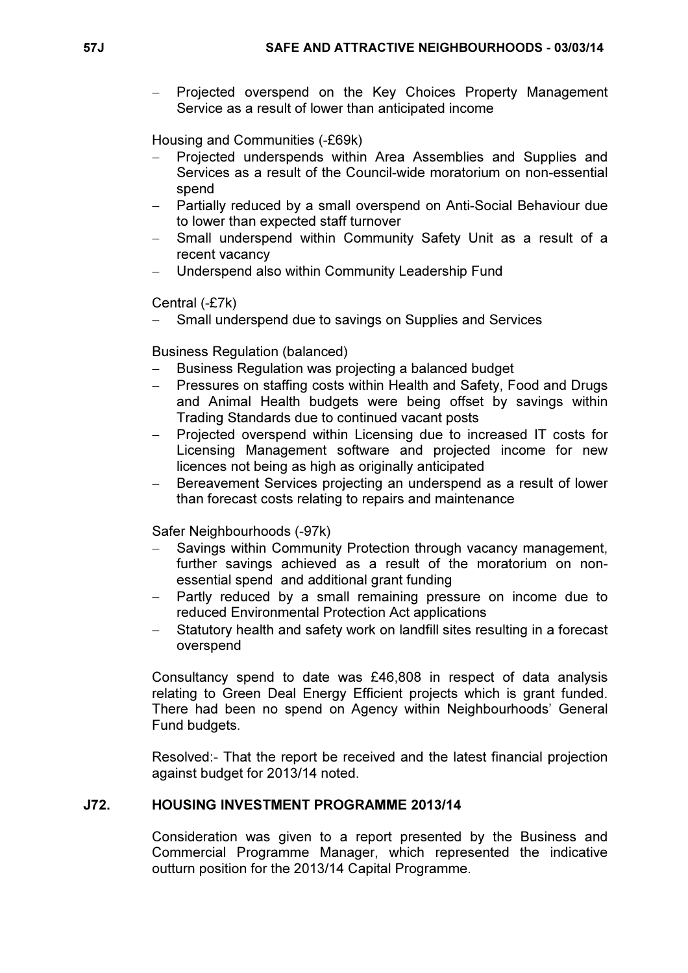Projected overspend on the Key Choices Property Management Service as a result of lower than anticipated income

Housing and Communities (-£69k)

- Projected underspends within Area Assemblies and Supplies and Services as a result of the Council-wide moratorium on non-essential spend
- Partially reduced by a small overspend on Anti-Social Behaviour due to lower than expected staff turnover
- − Small underspend within Community Safety Unit as a result of a recent vacancy
- Underspend also within Community Leadership Fund

Central (-£7k)

Small underspend due to savings on Supplies and Services

Business Regulation (balanced)

- Business Regulation was projecting a balanced budget
- Pressures on staffing costs within Health and Safety, Food and Drugs and Animal Health budgets were being offset by savings within Trading Standards due to continued vacant posts
- − Projected overspend within Licensing due to increased IT costs for Licensing Management software and projected income for new licences not being as high as originally anticipated
- Bereavement Services projecting an underspend as a result of lower than forecast costs relating to repairs and maintenance

Safer Neighbourhoods (-97k)

- Savings within Community Protection through vacancy management, further savings achieved as a result of the moratorium on nonessential spend and additional grant funding
- Partly reduced by a small remaining pressure on income due to reduced Environmental Protection Act applications
- Statutory health and safety work on landfill sites resulting in a forecast overspend

Consultancy spend to date was £46,808 in respect of data analysis relating to Green Deal Energy Efficient projects which is grant funded. There had been no spend on Agency within Neighbourhoods' General Fund budgets.

Resolved:- That the report be received and the latest financial projection against budget for 2013/14 noted.

## J72. HOUSING INVESTMENT PROGRAMME 2013/14

 Consideration was given to a report presented by the Business and Commercial Programme Manager, which represented the indicative outturn position for the 2013/14 Capital Programme.